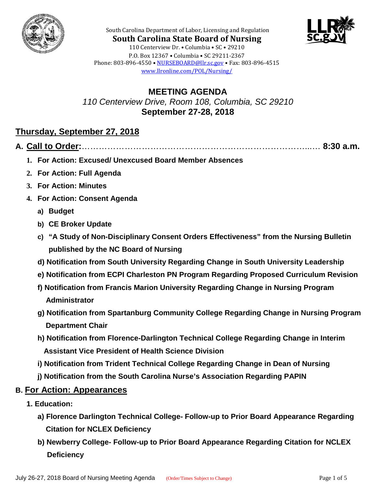



**South Carolina State Board of Nursing** 110 Centerview Dr. • Columbia • SC • 29210 P.O. Box 12367 • Columbia • SC 29211-2367 Phone: 803-896-4550 • [NURSEBOARD@llr.sc.gov](mailto:contactllr@llr.sc.gov) • Fax: 803-896-4515 [www.llronline.com/POL/Nursing/](http://www.llronline.com/POL/Nursing/)

South Carolina Department of Labor, Licensing and Regulation

**MEETING AGENDA** *110 Centerview Drive, Room 108, Columbia, SC 29210* **September 27-28, 2018**

# **Thursday, September 27, 2018**

**A. Call to Order:**……………………………………………………………………...… **8:30 a.m.**

- **1. For Action: Excused/ Unexcused Board Member Absences**
- **2. For Action: Full Agenda**
- **3. For Action: Minutes**
- **4. For Action: Consent Agenda**
	- **a) Budget**
	- **b) CE Broker Update**
	- **c) "A Study of Non-Disciplinary Consent Orders Effectiveness" from the Nursing Bulletin published by the NC Board of Nursing**
	- **d) Notification from South University Regarding Change in South University Leadership**
	- **e) Notification from ECPI Charleston PN Program Regarding Proposed Curriculum Revision**
	- **f) Notification from Francis Marion University Regarding Change in Nursing Program Administrator**
	- **g) Notification from Spartanburg Community College Regarding Change in Nursing Program Department Chair**
	- **h) Notification from Florence-Darlington Technical College Regarding Change in Interim Assistant Vice President of Health Science Division**
	- **i) Notification from Trident Technical College Regarding Change in Dean of Nursing**
	- **j) Notification from the South Carolina Nurse's Association Regarding PAPIN**

#### **B. For Action: Appearances**

- **1. Education:** 
	- **a) Florence Darlington Technical College- Follow-up to Prior Board Appearance Regarding Citation for NCLEX Deficiency**
	- **b) Newberry College- Follow-up to Prior Board Appearance Regarding Citation for NCLEX Deficiency**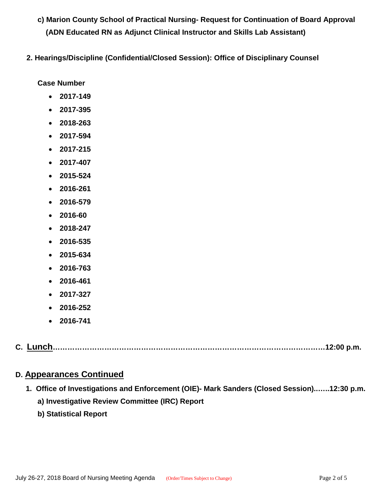- **c) Marion County School of Practical Nursing- Request for Continuation of Board Approval (ADN Educated RN as Adjunct Clinical Instructor and Skills Lab Assistant)**
- **2. Hearings/Discipline (Confidential/Closed Session): Office of Disciplinary Counsel**

**Case Number**

- **2017-149**
- **2017-395**
- **2018-263**
- **2017-594**
- **2017-215**
- **2017-407**
- **2015-524**
- **2016-261**
- **2016-579**
- **2016-60**
- **2018-247**
- **2016-535**
- **2015-634**
- **2016-763**
- **2016-461**
- **2017-327**
- **2016-252**
- **2016-741**

|--|--|--|

## **D. Appearances Continued**

- **1. Office of Investigations and Enforcement (OIE)- Mark Sanders (Closed Session)..…..12:30 p.m. a) Investigative Review Committee (IRC) Report**
	- **b) Statistical Report**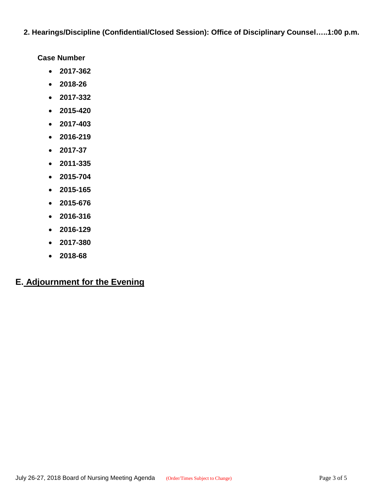**2. Hearings/Discipline (Confidential/Closed Session): Office of Disciplinary Counsel…..1:00 p.m.**

**Case Number**

- **2017-362**
- **2018-26**
- **2017-332**
- **2015-420**
- **2017-403**
- **2016-219**
- **2017-37**
- **2011-335**
- **2015-704**
- **2015-165**
- **2015-676**
- **2016-316**
- **2016-129**
- **2017-380**
- **2018-68**

# **E. Adjournment for the Evening**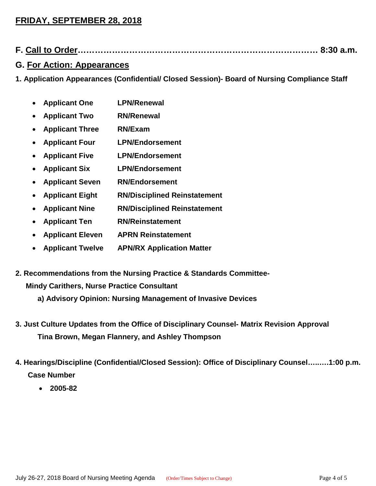## **FRIDAY, SEPTEMBER 28, 2018**

**F. Call to Order………………………………………………………………………… 8:30 a.m.**

## **G. For Action: Appearances**

**1. Application Appearances (Confidential/ Closed Session)- Board of Nursing Compliance Staff**

- **Applicant One LPN/Renewal**
- **Applicant Two RN/Renewal**
- **Applicant Three RN/Exam**
- **Applicant Four LPN/Endorsement**
- **Applicant Five LPN/Endorsement**
- **Applicant Six LPN/Endorsement**
- **Applicant Seven RN/Endorsement**
- **Applicant Eight RN/Disciplined Reinstatement**
- **Applicant Nine RN/Disciplined Reinstatement**
- **Applicant Ten RN/Reinstatement**
- **Applicant Eleven APRN Reinstatement**
- **Applicant Twelve APN/RX Application Matter**
- **2. Recommendations from the Nursing Practice & Standards Committee-**

#### **Mindy Carithers, Nurse Practice Consultant**

- **a) Advisory Opinion: Nursing Management of Invasive Devices**
- **3. Just Culture Updates from the Office of Disciplinary Counsel- Matrix Revision Approval Tina Brown, Megan Flannery, and Ashley Thompson**
- **4. Hearings/Discipline (Confidential/Closed Session): Office of Disciplinary Counsel…..….1:00 p.m. Case Number**
	- **2005-82**